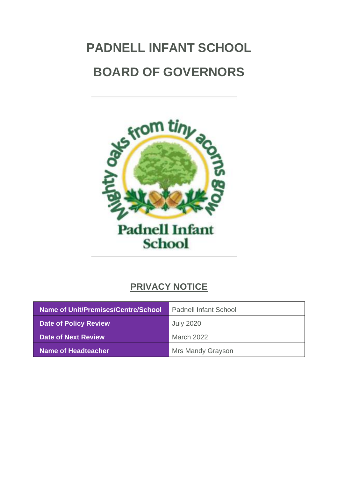# **PADNELL INFANT SCHOOL BOARD OF GOVERNORS**



## **PRIVACY NOTICE**

| Name of Unit/Premises/Centre/School | <b>Padnell Infant School</b> |
|-------------------------------------|------------------------------|
| <b>Date of Policy Review</b>        | <b>July 2020</b>             |
| <b>Date of Next Review</b>          | March 2022                   |
| <b>Name of Headteacher</b>          | Mrs Mandy Grayson            |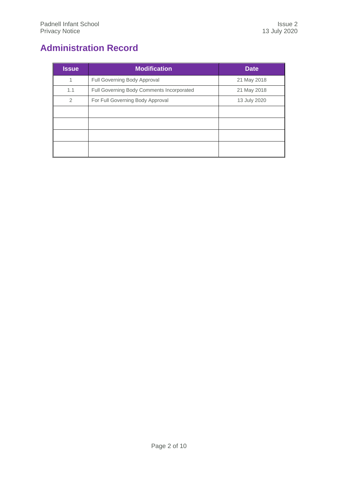## <span id="page-1-0"></span>**Administration Record**

| <b>Modification</b>                       | <b>Date</b>  |
|-------------------------------------------|--------------|
| Full Governing Body Approval              | 21 May 2018  |
| Full Governing Body Comments Incorporated | 21 May 2018  |
| For Full Governing Body Approval          | 13 July 2020 |
|                                           |              |
|                                           |              |
|                                           |              |
|                                           |              |
|                                           |              |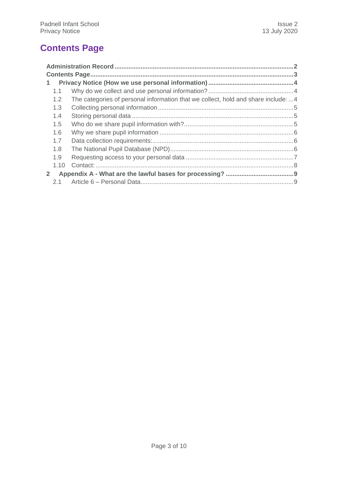## <span id="page-2-0"></span>**Contents Page**

| $\mathbf{1}$   |      |                                                                                   |  |
|----------------|------|-----------------------------------------------------------------------------------|--|
|                | 1.1  |                                                                                   |  |
|                | 1.2  | The categories of personal information that we collect, hold and share include: 4 |  |
|                | 1.3  |                                                                                   |  |
|                | 1.4  |                                                                                   |  |
|                | 1.5  |                                                                                   |  |
|                | 1.6  |                                                                                   |  |
|                | 1.7  |                                                                                   |  |
|                | 1.8  |                                                                                   |  |
|                | 1.9  |                                                                                   |  |
|                | 1.10 |                                                                                   |  |
| 2 <sup>1</sup> |      |                                                                                   |  |
|                | 2.1  |                                                                                   |  |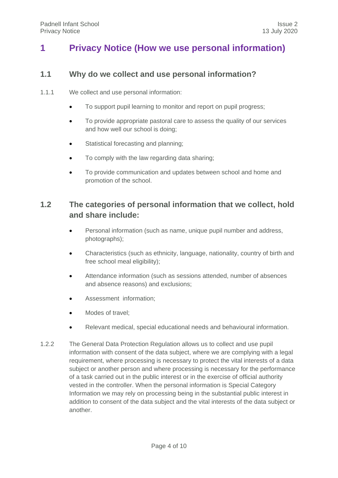## <span id="page-3-1"></span><span id="page-3-0"></span>**1 Privacy Notice (How we use personal information)**

#### **1.1 Why do we collect and use personal information?**

- 1.1.1 We collect and use personal information:
	- To support pupil learning to monitor and report on pupil progress;
	- To provide appropriate pastoral care to assess the quality of our services and how well our school is doing;
	- Statistical forecasting and planning;
	- To comply with the law regarding data sharing;
	- To provide communication and updates between school and home and promotion of the school.

### <span id="page-3-2"></span>**1.2 The categories of personal information that we collect, hold and share include:**

- Personal information (such as name, unique pupil number and address, photographs);
- Characteristics (such as ethnicity, language, nationality, country of birth and free school meal eligibility);
- Attendance information (such as sessions attended, number of absences and absence reasons) and exclusions;
- Assessment information;
- Modes of travel;
- Relevant medical, special educational needs and behavioural information.
- 1.2.2 The General Data Protection Regulation allows us to collect and use pupil information with consent of the data subject, where we are complying with a legal requirement, where processing is necessary to protect the vital interests of a data subject or another person and where processing is necessary for the performance of a task carried out in the public interest or in the exercise of official authority vested in the controller. When the personal information is Special Category Information we may rely on processing being in the substantial public interest in addition to consent of the data subject and the vital interests of the data subject or another.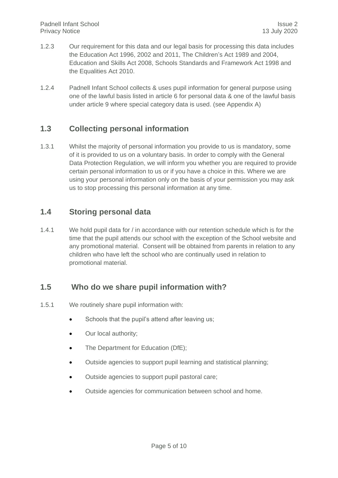- 1.2.3 Our requirement for this data and our legal basis for processing this data includes the Education Act 1996, 2002 and 2011, The Children's Act 1989 and 2004, Education and Skills Act 2008, Schools Standards and Framework Act 1998 and the Equalities Act 2010.
- 1.2.4 Padnell Infant School collects & uses pupil information for general purpose using one of the lawful basis listed in article 6 for personal data & one of the lawful basis under article 9 where special category data is used. (see Appendix A)

#### <span id="page-4-0"></span>**1.3 Collecting personal information**

1.3.1 Whilst the majority of personal information you provide to us is mandatory, some of it is provided to us on a voluntary basis. In order to comply with the General Data Protection Regulation, we will inform you whether you are required to provide certain personal information to us or if you have a choice in this. Where we are using your personal information only on the basis of your permission you may ask us to stop processing this personal information at any time.

#### <span id="page-4-1"></span>**1.4 Storing personal data**

1.4.1 We hold pupil data for / in accordance with our retention schedule which is for the time that the pupil attends our school with the exception of the School website and any promotional material. Consent will be obtained from parents in relation to any children who have left the school who are continually used in relation to promotional material.

#### <span id="page-4-2"></span>**1.5 Who do we share pupil information with?**

- 1.5.1 We routinely share pupil information with:
	- Schools that the pupil's attend after leaving us;
	- Our local authority;
	- The Department for Education (DfE);
	- Outside agencies to support pupil learning and statistical planning;
	- Outside agencies to support pupil pastoral care;
	- Outside agencies for communication between school and home.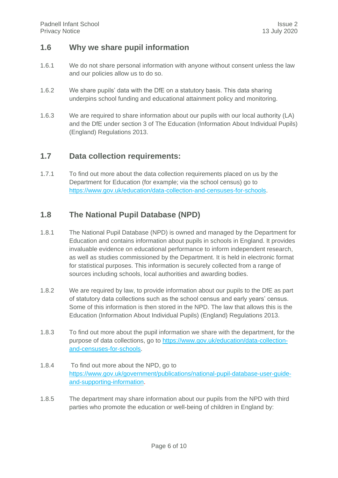#### <span id="page-5-0"></span>**1.6 Why we share pupil information**

- 1.6.1 We do not share personal information with anyone without consent unless the law and our policies allow us to do so.
- 1.6.2 We share pupils' data with the DfE on a statutory basis. This data sharing underpins school funding and educational attainment policy and monitoring.
- 1.6.3 We are required to share information about our pupils with our local authority (LA) and the DfE under section 3 of The Education (Information About Individual Pupils) (England) Regulations 2013.

#### <span id="page-5-1"></span>**1.7 Data collection requirements:**

1.7.1 To find out more about the data collection requirements placed on us by the Department for Education (for example; via the school census) go to [https://www.gov.uk/education/data-collection-and-censuses-for-schools.](https://www.gov.uk/education/data-collection-and-censuses-for-schools)

#### <span id="page-5-2"></span>**1.8 The National Pupil Database (NPD)**

- 1.8.1 The National Pupil Database (NPD) is owned and managed by the Department for Education and contains information about pupils in schools in England. It provides invaluable evidence on educational performance to inform independent research, as well as studies commissioned by the Department. It is held in electronic format for statistical purposes. This information is securely collected from a range of sources including schools, local authorities and awarding bodies.
- 1.8.2 We are required by law, to provide information about our pupils to the DfE as part of statutory data collections such as the school census and early years' census. Some of this information is then stored in the NPD. The law that allows this is the Education (Information About Individual Pupils) (England) Regulations 2013.
- 1.8.3 To find out more about the pupil information we share with the department, for the purpose of data collections, go to [https://www.gov.uk/education/data-collection](https://www.gov.uk/education/data-collection-and-censuses-for-schools)[and-censuses-for-schools.](https://www.gov.uk/education/data-collection-and-censuses-for-schools)
- 1.8.4 To find out more about the NPD, go to [https://www.gov.uk/government/publications/national-pupil-database-user-guide](https://www.gov.uk/government/publications/national-pupil-database-user-guide-and-supporting-information)[and-supporting-information.](https://www.gov.uk/government/publications/national-pupil-database-user-guide-and-supporting-information)
- 1.8.5 The department may share information about our pupils from the NPD with third parties who promote the education or well-being of children in England by: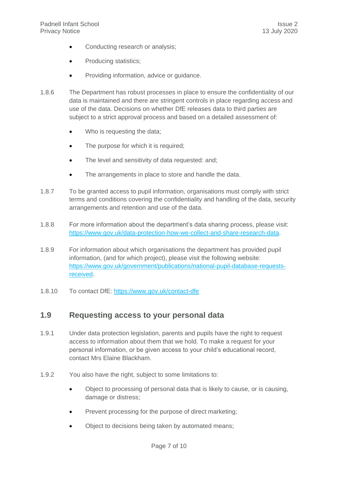- Conducting research or analysis;
- Producing statistics;
- Providing information, advice or guidance.
- 1.8.6 The Department has robust processes in place to ensure the confidentiality of our data is maintained and there are stringent controls in place regarding access and use of the data. Decisions on whether DfE releases data to third parties are subject to a strict approval process and based on a detailed assessment of:
	- Who is requesting the data;
	- The purpose for which it is required;
	- The level and sensitivity of data requested: and:
	- The arrangements in place to store and handle the data.
- 1.8.7 To be granted access to pupil information, organisations must comply with strict terms and conditions covering the confidentiality and handling of the data, security arrangements and retention and use of the data.
- 1.8.8 For more information about the department's data sharing process, please visit: [https://www.gov.uk/data-protection-how-we-collect-and-share-research-data.](https://www.gov.uk/data-protection-how-we-collect-and-share-research-data)
- 1.8.9 For information about which organisations the department has provided pupil information, (and for which project), please visit the following website: [https://www.gov.uk/government/publications/national-pupil-database-requests](https://www.gov.uk/government/publications/national-pupil-database-requests-received)[received.](https://www.gov.uk/government/publications/national-pupil-database-requests-received)
- <span id="page-6-0"></span>1.8.10 To contact DfE:<https://www.gov.uk/contact-dfe>

#### **1.9 Requesting access to your personal data**

- 1.9.1 Under data protection legislation, parents and pupils have the right to request access to information about them that we hold. To make a request for your personal information, or be given access to your child's educational record, contact Mrs Elaine Blackham.
- 1.9.2 You also have the right, subject to some limitations to:
	- Object to processing of personal data that is likely to cause, or is causing, damage or distress;
	- Prevent processing for the purpose of direct marketing;
	- Object to decisions being taken by automated means;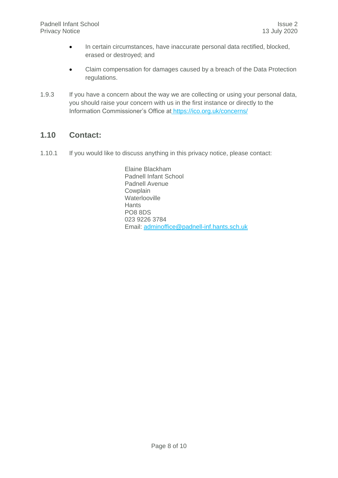- In certain circumstances, have inaccurate personal data rectified, blocked, erased or destroyed; and
- Claim compensation for damages caused by a breach of the Data Protection regulations.
- 1.9.3 If you have a concern about the way we are collecting or using your personal data, you should raise your concern with us in the first instance or directly to the Information Commissioner's Office at <https://ico.org.uk/concerns/>

#### <span id="page-7-0"></span>**1.10 Contact:**

1.10.1 If you would like to discuss anything in this privacy notice, please contact:

Elaine Blackham Padnell Infant School Padnell Avenue **Cowplain Waterlooville Hants** PO8 8DS 023 9226 3784 Email: [adminoffice@padnell-inf.hants.sch.uk](mailto:adminoffice@padnell-inf.hants.sch.uk)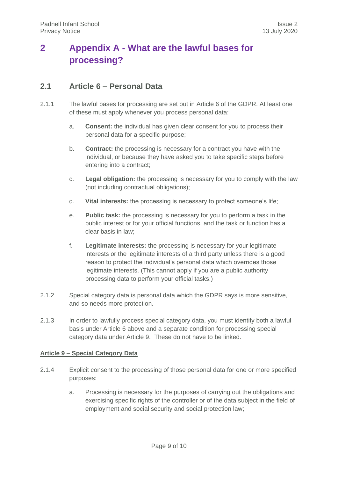## <span id="page-8-0"></span>**2 Appendix A - What are the lawful bases for processing?**

#### <span id="page-8-1"></span>**2.1 Article 6 – Personal Data**

- 2.1.1 The lawful bases for processing are set out in Article 6 of the GDPR. At least one of these must apply whenever you process personal data:
	- a. **Consent:** the individual has given clear consent for you to process their personal data for a specific purpose;
	- b. **Contract:** the processing is necessary for a contract you have with the individual, or because they have asked you to take specific steps before entering into a contract;
	- c. **Legal obligation:** the processing is necessary for you to comply with the law (not including contractual obligations);
	- d. **Vital interests:** the processing is necessary to protect someone's life;
	- e. **Public task:** the processing is necessary for you to perform a task in the public interest or for your official functions, and the task or function has a clear basis in law;
	- f. **Legitimate interests:** the processing is necessary for your legitimate interests or the legitimate interests of a third party unless there is a good reason to protect the individual's personal data which overrides those legitimate interests. (This cannot apply if you are a public authority processing data to perform your official tasks.)
- 2.1.2 Special category data is personal data which the GDPR says is more sensitive, and so needs more protection.
- 2.1.3 In order to lawfully process special category data, you must identify both a lawful basis under Article 6 above and a separate condition for processing special category data under Article 9. These do not have to be linked.

#### **Article 9 – Special Category Data**

- 2.1.4 Explicit consent to the processing of those personal data for one or more specified purposes:
	- a. Processing is necessary for the purposes of carrying out the obligations and exercising specific rights of the controller or of the data subject in the field of employment and social security and social protection law;